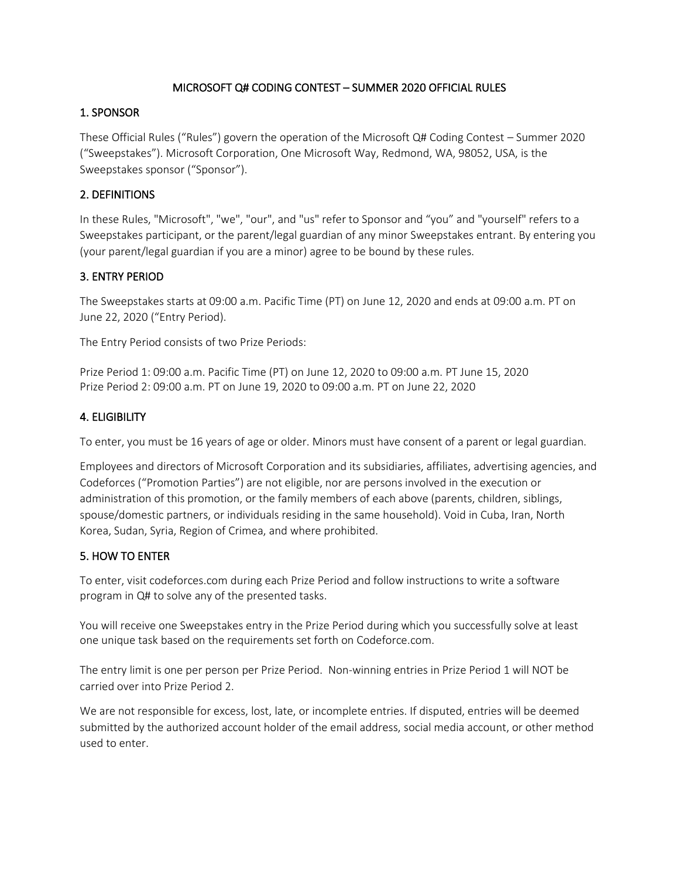### MICROSOFT Q# CODING CONTEST – SUMMER 2020 OFFICIAL RULES

### 1. SPONSOR

These Official Rules ("Rules") govern the operation of the Microsoft Q# Coding Contest – Summer 2020 ("Sweepstakes"). Microsoft Corporation, One Microsoft Way, Redmond, WA, 98052, USA, is the Sweepstakes sponsor ("Sponsor").

## 2. DEFINITIONS

In these Rules, "Microsoft", "we", "our", and "us" refer to Sponsor and "you" and "yourself" refers to a Sweepstakes participant, or the parent/legal guardian of any minor Sweepstakes entrant. By entering you (your parent/legal guardian if you are a minor) agree to be bound by these rules.

## 3. ENTRY PERIOD

The Sweepstakes starts at 09:00 a.m. Pacific Time (PT) on June 12, 2020 and ends at 09:00 a.m. PT on June 22, 2020 ("Entry Period).

The Entry Period consists of two Prize Periods:

Prize Period 1: 09:00 a.m. Pacific Time (PT) on June 12, 2020 to 09:00 a.m. PT June 15, 2020 Prize Period 2: 09:00 a.m. PT on June 19, 2020 to 09:00 a.m. PT on June 22, 2020

### 4. ELIGIBILITY

To enter, you must be 16 years of age or older. Minors must have consent of a parent or legal guardian.

Employees and directors of Microsoft Corporation and its subsidiaries, affiliates, advertising agencies, and Codeforces ("Promotion Parties") are not eligible, nor are persons involved in the execution or administration of this promotion, or the family members of each above (parents, children, siblings, spouse/domestic partners, or individuals residing in the same household). Void in Cuba, Iran, North Korea, Sudan, Syria, Region of Crimea, and where prohibited.

# 5. HOW TO ENTER

To enter, visit codeforces.com during each Prize Period and follow instructions to write a software program in Q# to solve any of the presented tasks.

You will receive one Sweepstakes entry in the Prize Period during which you successfully solve at least one unique task based on the requirements set forth on Codeforce.com.

The entry limit is one per person per Prize Period. Non-winning entries in Prize Period 1 will NOT be carried over into Prize Period 2.

We are not responsible for excess, lost, late, or incomplete entries. If disputed, entries will be deemed submitted by the authorized account holder of the email address, social media account, or other method used to enter.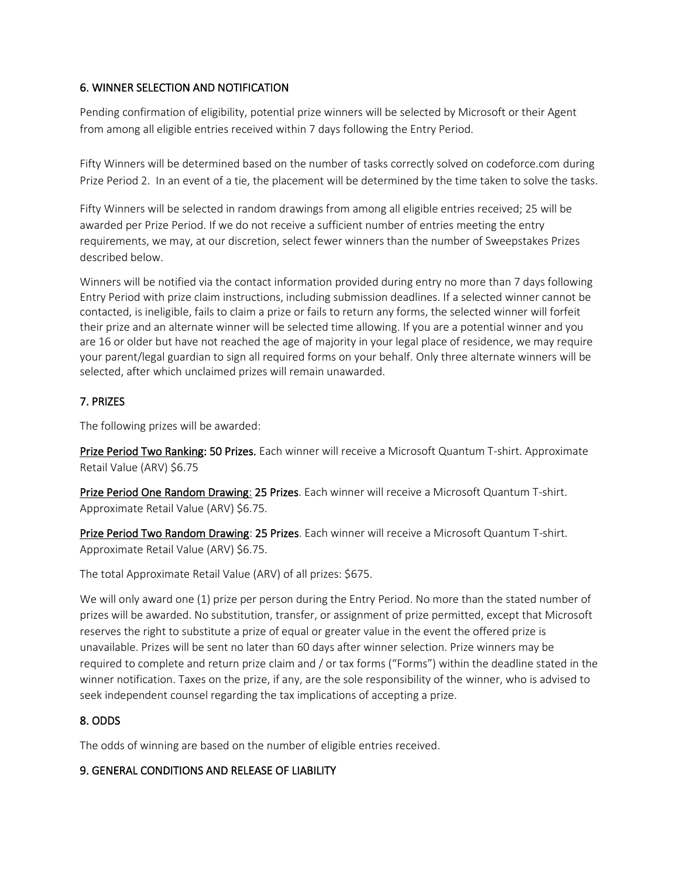## 6. WINNER SELECTION AND NOTIFICATION

Pending confirmation of eligibility, potential prize winners will be selected by Microsoft or their Agent from among all eligible entries received within 7 days following the Entry Period.

Fifty Winners will be determined based on the number of tasks correctly solved on codeforce.com during Prize Period 2. In an event of a tie, the placement will be determined by the time taken to solve the tasks.

Fifty Winners will be selected in random drawings from among all eligible entries received; 25 will be awarded per Prize Period. If we do not receive a sufficient number of entries meeting the entry requirements, we may, at our discretion, select fewer winners than the number of Sweepstakes Prizes described below.

Winners will be notified via the contact information provided during entry no more than 7 days following Entry Period with prize claim instructions, including submission deadlines. If a selected winner cannot be contacted, is ineligible, fails to claim a prize or fails to return any forms, the selected winner will forfeit their prize and an alternate winner will be selected time allowing. If you are a potential winner and you are 16 or older but have not reached the age of majority in your legal place of residence, we may require your parent/legal guardian to sign all required forms on your behalf. Only three alternate winners will be selected, after which unclaimed prizes will remain unawarded.

# 7. PRIZES

The following prizes will be awarded:

Prize Period Two Ranking: 50 Prizes. Each winner will receive a Microsoft Quantum T-shirt. Approximate Retail Value (ARV) \$6.75

Prize Period One Random Drawing: 25 Prizes. Each winner will receive a Microsoft Quantum T-shirt. Approximate Retail Value (ARV) \$6.75.

Prize Period Two Random Drawing: 25 Prizes. Each winner will receive a Microsoft Quantum T-shirt. Approximate Retail Value (ARV) \$6.75.

The total Approximate Retail Value (ARV) of all prizes: \$675.

We will only award one (1) prize per person during the Entry Period. No more than the stated number of prizes will be awarded. No substitution, transfer, or assignment of prize permitted, except that Microsoft reserves the right to substitute a prize of equal or greater value in the event the offered prize is unavailable. Prizes will be sent no later than 60 days after winner selection. Prize winners may be required to complete and return prize claim and / or tax forms ("Forms") within the deadline stated in the winner notification. Taxes on the prize, if any, are the sole responsibility of the winner, who is advised to seek independent counsel regarding the tax implications of accepting a prize.

# 8. ODDS

The odds of winning are based on the number of eligible entries received.

### 9. GENERAL CONDITIONS AND RELEASE OF LIABILITY